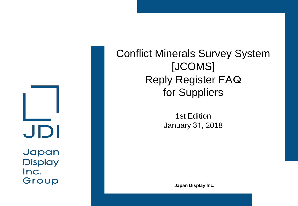

Inc. Group Conflict Minerals Survey System [JCOMS] Reply Register FAQ for Suppliers

> 1st Edition January 31, 2018

> > **Japan Display Inc.**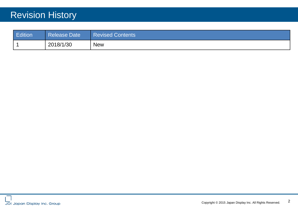# Revision History

| Edition | <b>Release Date</b> | <b>Revised Contents</b> |
|---------|---------------------|-------------------------|
|         | 2018/1/30           | <b>New</b>              |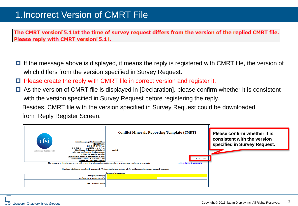#### 1.Incorrect Version of CMRT File

The CMRT version[5.1]at the time of survey request differs from the version of the replied CMRT file. Please reply with CMRT version[5.1].

- $\Box$  If the message above is displayed, it means the reply is registered with CMRT file, the version of which differs from the version specified in Survey Request.
- Please create the reply with CMRT file in correct version and register it.
- As the version of CMRT file is displayed in [Declaration], please confirm whether it is consistent with the version specified in Survey Request before registering the reply. Besides, CMRT file with the version specified in Survey Request could be downloaded from Reply Register Screen.

|                                                                                                                                                                                                                                                                                                                                                                                                   | <b>Conflict Minerals Reporting Template (CMRT)</b>                                                                                                       | Please confirm whether it is<br>consistent with the version |
|---------------------------------------------------------------------------------------------------------------------------------------------------------------------------------------------------------------------------------------------------------------------------------------------------------------------------------------------------------------------------------------------------|----------------------------------------------------------------------------------------------------------------------------------------------------------|-------------------------------------------------------------|
| cfsi<br><b>Select Language Preference Here:</b><br>请选择你的语言:<br>사용할 언어를 선택하시오 :<br>表示言語をここから選択してくたさい:<br>Sélectionner la langue préférée ici:<br>An initiative of the EICC and GeSI<br>Selecione Preferência de idioma Aqui:<br>Wählen sie hier die Sprache:<br>Seleccione el lenguaje de preferencia aqui:<br>Selezionare la lingua di preferenza qui:<br><b>Burada Dil Tercihini Belirleyin:</b> | <b>English</b><br><b>Revision 5.01</b>                                                                                                                   | specified in Survey Request.                                |
| The purpose of this document is to collect sourcing information on tin, tantalum, tungsten and gold used in products                                                                                                                                                                                                                                                                              | <b>Link to Terms &amp; Conditions</b>                                                                                                                    |                                                             |
|                                                                                                                                                                                                                                                                                                                                                                                                   | Mandatory fields are noted with an asterisk (*). Consult the instructions tab for guidance on how to answer each question.<br><b>Company Information</b> |                                                             |
| Company Name (*):                                                                                                                                                                                                                                                                                                                                                                                 |                                                                                                                                                          |                                                             |
| Declaration Scope or Class (*):                                                                                                                                                                                                                                                                                                                                                                   |                                                                                                                                                          |                                                             |
| <b>Description of Scope:</b>                                                                                                                                                                                                                                                                                                                                                                      |                                                                                                                                                          |                                                             |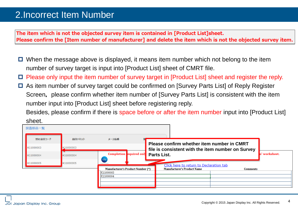## 2.Incorrect Item Number

The item which is not the objected survey item is contained in [Product List]sheet. Please confirm the [Item number of manufacturer] and delete the item which is not the objected survey item.

- $\Box$  When the message above is displayed, it means item number which not belong to the item number of survey target is input into [Product List] sheet of CMRT file.
- Please only input the item number of survey target in [Product List] sheet and register the reply.
- As item number of survey target could be confirmed on [Survey Parts List] of Reply Register Screen, please confirm whether item number of [Survey Parts List] is consistent with the item number input into [Product List] sheet before registering reply.

Besides, please confirm if there is space before or after the item number input into [Product List] sheet.

| 弊社品目コード                | 品目テキスト                 | メーカ品番                                                                      |                                                                                                 |                 |            |
|------------------------|------------------------|----------------------------------------------------------------------------|-------------------------------------------------------------------------------------------------|-----------------|------------|
| K11000003              | K11000003              |                                                                            | Please confirm whether item number in CMRT<br>file is consistent with the item number on Survey |                 |            |
| K11000004<br>K11000005 | K11000004<br>K11000005 | <b>Completion</b> equired only<br>cfsi<br>to initiative africa 607 and the | <b>Parts List.</b>                                                                              |                 | worksheet. |
|                        |                        | <b>Manufacturer's Product Number (*)</b><br>K11000003<br>K11000004         | Click here to return to Declaration tab<br><b>Manufacturer's Product Name</b>                   | <b>Comments</b> |            |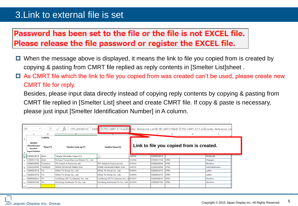#### 3.Link to external file is set

### Password has been set to the file or the file is not EXCEL file. Please release the file password or register the EXCEL file.

- $\Box$  When the message above is displayed, it means the link to file you copied from is created by copying & pasting from CMRT file replied as reply contents in [Smelter List]sheet .
- $\Box$  As CMRT file which the link to file you copied from was created can't be used, please create new CMRT file for reply.

Besides, please input data directly instead of copying reply contents by copying & pasting from CMRT file replied in [Smelter List] sheet and create CMRT file. If copy & paste is necessary, please just input [Smelter Identification Number] in A column.

| C <sub>5</sub> | $\overline{\phantom{a}}$                                                        | - 70      | Ťх                                       | =IF(LEN(A5)=0,"",INDE <mark>(('[CFSI_CMRT_4.10.xls]Sr</mark> elter Reference List'\$C:\$C,MATCH(\$A5,'[CFSI_CMRT_4.10.xls]Smelter Reference Lis |              |           |             |                                          |               |  |
|----------------|---------------------------------------------------------------------------------|-----------|------------------------------------------|-------------------------------------------------------------------------------------------------------------------------------------------------|--------------|-----------|-------------|------------------------------------------|---------------|--|
|                | А                                                                               | в         |                                          |                                                                                                                                                 |              |           | G           | н                                        |               |  |
| $\overline{2}$ | <b>TO BEGIN:</b>                                                                |           |                                          |                                                                                                                                                 |              |           |             |                                          |               |  |
|                | <b>Smelter</b><br><b>Identification</b><br><b>Number</b><br><b>Input Column</b> | $Meta(*)$ | Smelter Look-up (*)                      | <b>Smelter Name (1)</b>                                                                                                                         |              |           |             | Link to file you copied from is created. |               |  |
| 5              | CID001875                                                                       | Gold      | Tanaka Kikinzoku Kogyo K.K.              | $\mathbf{v}$                                                                                                                                    | <b>JAPAN</b> | CID001875 |             |                                          | Hiratsuka     |  |
| 6              | CID001736                                                                       | Gold      | Sichuan Tianze Precious Metals Co., Ltd. |                                                                                                                                                 | <b>CHINA</b> | CID001736 | CFSI        |                                          | Chengdu       |  |
|                | CID002505                                                                       | Tantalum  | FIR Metals & Resource Ltd.               | FIR Metals & Resource Ltd.                                                                                                                      | <b>CHINA</b> | CID002505 | <b>CFSI</b> |                                          | Zhuzhou       |  |
| 8              | CID002558                                                                       | Tantalum  | Global Advanced Metals Aizu              | Global Advanced Metals Aizu                                                                                                                     | <b>JAPAN</b> | CID002558 | <b>CFSI</b> |                                          | Aizuwakamatsu |  |
| ۹              | CID001070                                                                       | Tin       | China Tin Group Co., Ltd.                | China Tin Group Co., Ltd.                                                                                                                       | <b>CHINA</b> | CID001070 | <b>CFSI</b> |                                          | Laibin        |  |
| 10             | CID001070                                                                       | Tin       | China Tin Group Co., Ltd.                | China Tin Group Co., Ltd.                                                                                                                       | <b>CHINA</b> | CID001070 | <b>CFSI</b> |                                          | Laibin        |  |
| 11             | CID002844                                                                       | Tin       | HuiChang Hill Tin Industry Co., Ltd.     | HuiChang Hill Tin Industry Co., Lt CHINA                                                                                                        |              | CID002844 | <b>CFSI</b> |                                          | Ganzhou       |  |
| 12             | CID000760                                                                       | Tin       | Huichang Jinshunda Tin Co., Ltd.         | Huichang Jinshunda Tin Co., Ltd. CHINA                                                                                                          |              | CID000760 | <b>CFSI</b> |                                          | Ganzhou       |  |
| 13             |                                                                                 |           |                                          |                                                                                                                                                 |              |           |             |                                          |               |  |